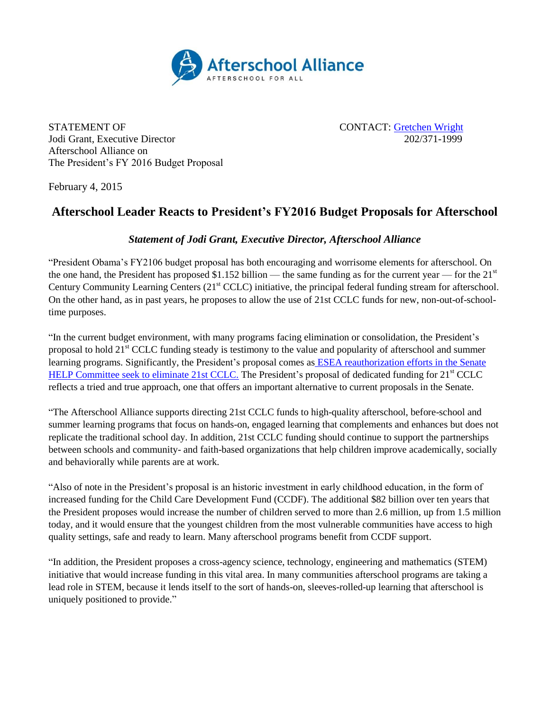

STATEMENT OF CONTACT: [Gretchen Wright](mailto:Gretchen@prsolutionsdc.com) Jodi Grant, Executive Director 202/371-1999 Afterschool Alliance on The President's FY 2016 Budget Proposal

February 4, 2015

## **Afterschool Leader Reacts to President's FY2016 Budget Proposals for Afterschool**

## *Statement of Jodi Grant, Executive Director, Afterschool Alliance*

"President Obama's FY2106 budget proposal has both encouraging and worrisome elements for afterschool. On the one hand, the President has proposed \$1.152 billion — the same funding as for the current year — for the  $21<sup>st</sup>$ Century Community Learning Centers  $(21<sup>st</sup> CCLC)$  initiative, the principal federal funding stream for afterschool. On the other hand, as in past years, he proposes to allow the use of 21st CCLC funds for new, non-out-of-schooltime purposes.

"In the current budget environment, with many programs facing elimination or consolidation, the President's proposal to hold 21st CCLC funding steady is testimony to the value and popularity of afterschool and summer learning programs. Significantly, the President's proposal comes as ESEA reauthorization efforts in the Senate [HELP Committee seek to eliminate 21st CCLC.](http://www.afterschoolalliance.org/afterschoolsnack/ASnack.cfm?idBlog=5F3AB965-5056-A82E-7A730DA47D0013B3) The President's proposal of dedicated funding for 21<sup>st</sup> CCLC reflects a tried and true approach, one that offers an important alternative to current proposals in the Senate.

"The Afterschool Alliance supports directing 21st CCLC funds to high-quality afterschool, before-school and summer learning programs that focus on hands-on, engaged learning that complements and enhances but does not replicate the traditional school day. In addition, 21st CCLC funding should continue to support the partnerships between schools and community- and faith-based organizations that help children improve academically, socially and behaviorally while parents are at work.

"Also of note in the President's proposal is an historic investment in early childhood education, in the form of increased funding for the Child Care Development Fund (CCDF). The additional \$82 billion over ten years that the President proposes would increase the number of children served to more than 2.6 million, up from 1.5 million today, and it would ensure that the youngest children from the most vulnerable communities have access to high quality settings, safe and ready to learn. Many afterschool programs benefit from CCDF support.

"In addition, the President proposes a cross-agency science, technology, engineering and mathematics (STEM) initiative that would increase funding in this vital area. In many communities afterschool programs are taking a lead role in STEM, because it lends itself to the sort of hands-on, sleeves-rolled-up learning that afterschool is uniquely positioned to provide."